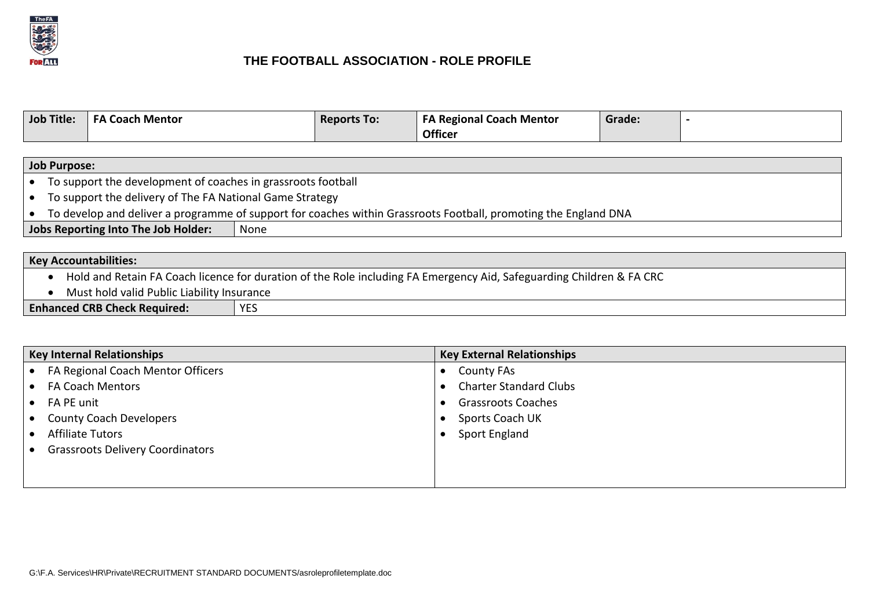

## **THE FOOTBALL ASSOCIATION - ROLE PROFILE**

| <b>Job Title:</b> | Coach Mentor<br>- Д | <b>Reports To:</b> | <b>FA Regional Coach Mentor</b> | Grade: |  |
|-------------------|---------------------|--------------------|---------------------------------|--------|--|
|                   |                     |                    | <b>Officer</b>                  |        |  |

| <b>Job Purpose:</b>                                                                                                               |                                                                                                                 |  |  |  |
|-----------------------------------------------------------------------------------------------------------------------------------|-----------------------------------------------------------------------------------------------------------------|--|--|--|
|                                                                                                                                   | • To support the development of coaches in grassroots football                                                  |  |  |  |
| To support the delivery of The FA National Game Strategy<br>$\bullet$                                                             |                                                                                                                 |  |  |  |
| $\bullet$                                                                                                                         | To develop and deliver a programme of support for coaches within Grassroots Football, promoting the England DNA |  |  |  |
| Jobs Reporting Into The Job Holder:<br>None                                                                                       |                                                                                                                 |  |  |  |
|                                                                                                                                   |                                                                                                                 |  |  |  |
| <b>Key Accountabilities:</b>                                                                                                      |                                                                                                                 |  |  |  |
| Hold and Retain FA Coach licence for duration of the Role including FA Emergency Aid, Safeguarding Children & FA CRC<br>$\bullet$ |                                                                                                                 |  |  |  |

Must hold valid Public Liability Insurance

**Enhanced CRB Check Required:** YES

| <b>Key Internal Relationships</b>       | <b>Key External Relationships</b> |  |
|-----------------------------------------|-----------------------------------|--|
| FA Regional Coach Mentor Officers       | <b>County FAs</b>                 |  |
| <b>FA Coach Mentors</b>                 | <b>Charter Standard Clubs</b>     |  |
| FA PE unit                              | <b>Grassroots Coaches</b>         |  |
| <b>County Coach Developers</b>          | Sports Coach UK                   |  |
| <b>Affiliate Tutors</b>                 | <b>Sport England</b>              |  |
| <b>Grassroots Delivery Coordinators</b> |                                   |  |
|                                         |                                   |  |
|                                         |                                   |  |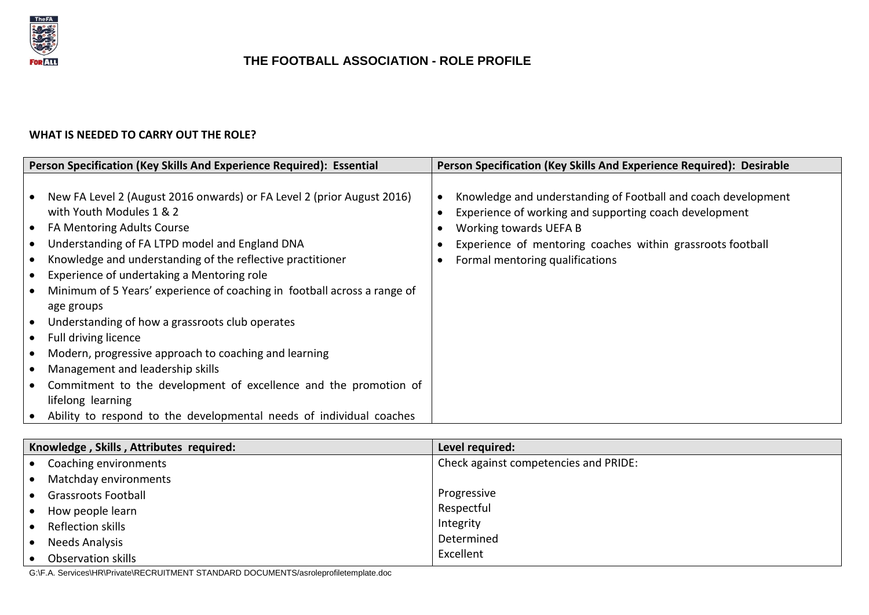

## **THE FOOTBALL ASSOCIATION - ROLE PROFILE**

## **WHAT IS NEEDED TO CARRY OUT THE ROLE?**

|                        | Person Specification (Key Skills And Experience Required): Essential                                                                                                               |  | Person Specification (Key Skills And Experience Required): Desirable                                                                              |  |  |
|------------------------|------------------------------------------------------------------------------------------------------------------------------------------------------------------------------------|--|---------------------------------------------------------------------------------------------------------------------------------------------------|--|--|
| $\bullet$<br>٠         | New FA Level 2 (August 2016 onwards) or FA Level 2 (prior August 2016)<br>with Youth Modules 1 & 2<br><b>FA Mentoring Adults Course</b>                                            |  | Knowledge and understanding of Football and coach development<br>Experience of working and supporting coach development<br>Working towards UEFA B |  |  |
| $\bullet$              | Understanding of FA LTPD model and England DNA<br>Knowledge and understanding of the reflective practitioner<br>Experience of undertaking a Mentoring role                         |  | Experience of mentoring coaches within grassroots football<br>Formal mentoring qualifications                                                     |  |  |
| $\bullet$<br>$\bullet$ | Minimum of 5 Years' experience of coaching in football across a range of<br>age groups<br>Understanding of how a grassroots club operates<br>Full driving licence                  |  |                                                                                                                                                   |  |  |
| $\bullet$              | Modern, progressive approach to coaching and learning<br>Management and leadership skills<br>Commitment to the development of excellence and the promotion of<br>lifelong learning |  |                                                                                                                                                   |  |  |
|                        | Ability to respond to the developmental needs of individual coaches                                                                                                                |  |                                                                                                                                                   |  |  |

| Knowledge, Skills, Attributes required: | Level required:                       |  |
|-----------------------------------------|---------------------------------------|--|
| Coaching environments                   | Check against competencies and PRIDE: |  |
| Matchday environments                   |                                       |  |
| <b>Grassroots Football</b>              | Progressive                           |  |
| How people learn                        | Respectful                            |  |
| Reflection skills                       | Integrity                             |  |
| <b>Needs Analysis</b>                   | Determined                            |  |
| Observation skills                      | Excellent                             |  |

G:\F.A. Services\HR\Private\RECRUITMENT STANDARD DOCUMENTS/asroleprofiletemplate.doc